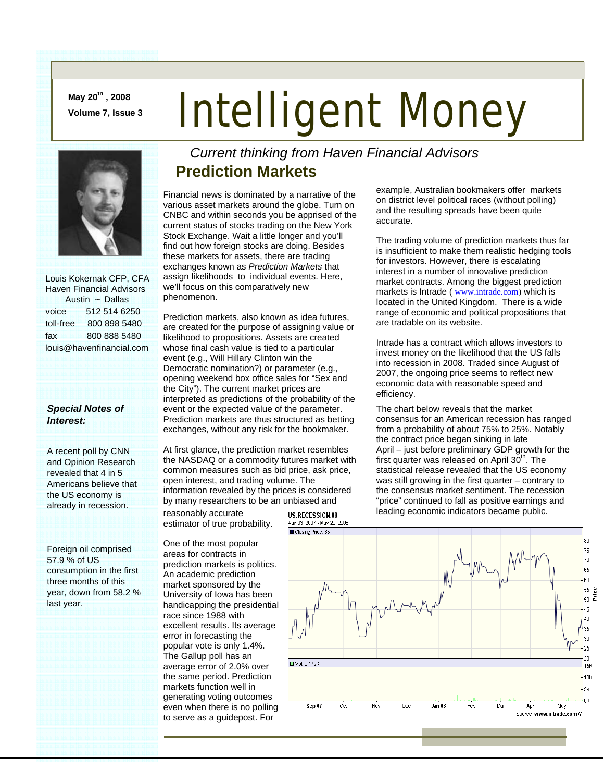**May 20th , 2008** 

# May 20<sup>cr,</sup>, 2008<br>Volume 7, Issue 3 **Intelligent Money**



 Louis Kokernak CFP, CFA Haven Financial Advisors Austin ~ Dallas voice 512 514 6250 toll-free 800 898 5480 fax 800 888 5480 louis@havenfinancial.com

#### *Special Notes of Interest:*

A recent poll by CNN and Opinion Research revealed that 4 in 5 Americans believe that the US economy is already in recession.

Foreign oil comprised 57.9 % of US consumption in the first three months of this year, down from 58.2 % last year.

#### *Current thinking from Haven Financial Advisors*  **Prediction Markets**

Financial news is dominated by a narrative of the various asset markets around the globe. Turn on CNBC and within seconds you be apprised of the current status of stocks trading on the New York Stock Exchange. Wait a little longer and you'll find out how foreign stocks are doing. Besides these markets for assets, there are trading exchanges known as *Prediction Markets* that assign likelihoods to individual events. Here, we'll focus on this comparatively new phenomenon.

Prediction markets, also known as idea futures, are created for the purpose of assigning value or likelihood to propositions. Assets are created whose final cash value is tied to a particular event (e.g., Will Hillary Clinton win the Democratic nomination?) or parameter (e.g., opening weekend box office sales for "Sex and the City"). The current market prices are interpreted as predictions of the probability of the event or the expected value of the parameter. Prediction markets are thus structured as betting exchanges, without any risk for the bookmaker.

At first glance, the prediction market resembles the NASDAQ or a commodity futures market with common measures such as bid price, ask price, open interest, and trading volume. The information revealed by the prices is considered by many researchers to be an unbiased and

reasonably accurate estimator of true probability.

One of the most popular areas for contracts in prediction markets is politics. An academic prediction market sponsored by the University of Iowa has been handicapping the presidential race since 1988 with excellent results. Its average error in forecasting the popular vote is only 1.4%. The Gallup poll has an average error of 2.0% over the same period. Prediction markets function well in generating voting outcomes even when there is no polling to serve as a guidepost. For

example, Australian bookmakers offer markets on district level political races (without polling) and the resulting spreads have been quite accurate.

The trading volume of prediction markets thus far is insufficient to make them realistic hedging tools for investors. However, there is escalating interest in a number of innovative prediction market contracts. Among the biggest prediction markets is Intrade ( www.intrade.com) which is located in the United Kingdom. There is a wide range of economic and political propositions that are tradable on its website.

Intrade has a contract which allows investors to invest money on the likelihood that the US falls into recession in 2008. Traded since August of 2007, the ongoing price seems to reflect new economic data with reasonable speed and efficiency.

The chart below reveals that the market consensus for an American recession has ranged from a probability of about 75% to 25%. Notably the contract price began sinking in late April – just before preliminary GDP growth for the first quarter was released on April  $30<sup>th</sup>$ . The statistical release revealed that the US economy was still growing in the first quarter – contrary to the consensus market sentiment. The recession "price" continued to fall as positive earnings and leading economic indicators became public.